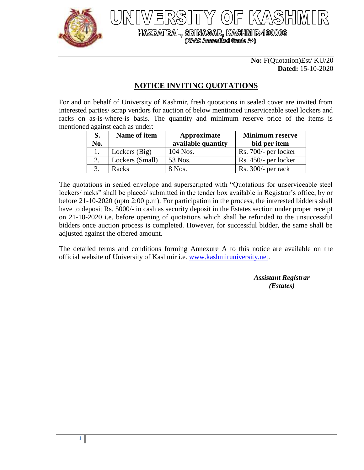

HAZRATBAL, SRINAGAR, KASHMIR-190006<br>(NAAC Accredited Grade A+)

## **No:** F(Quotation)Est/ KU/20 **Dated:** 15-10-2020

## **NOTICE INVITING QUOTATIONS**

For and on behalf of University of Kashmir, fresh quotations in sealed cover are invited from interested parties/ scrap vendors for auction of below mentioned unserviceable steel lockers and racks on as-is-where-is basis. The quantity and minimum reserve price of the items is mentioned against each as under:

| S.  | Name of item    | Approximate        | <b>Minimum reserve</b> |
|-----|-----------------|--------------------|------------------------|
| No. |                 | available quantity | bid per item           |
|     | Lockers (Big)   | 104 Nos.           | Rs. 700/- per locker   |
|     | Lockers (Small) | 53 Nos.            | $Rs. 450/-$ per locker |
|     | Racks           | 8 Nos.             | $Rs. 300/-$ per rack   |

The quotations in sealed envelope and superscripted with "Quotations for unserviceable steel lockers/ racks" shall be placed/ submitted in the tender box available in Registrar's office, by or before 21-10-2020 (upto 2:00 p.m). For participation in the process, the interested bidders shall have to deposit Rs. 5000/- in cash as security deposit in the Estates section under proper receipt on 21-10-2020 i.e. before opening of quotations which shall be refunded to the unsuccessful bidders once auction process is completed. However, for successful bidder, the same shall be adjusted against the offered amount.

The detailed terms and conditions forming Annexure A to this notice are available on the official website of University of Kashmir i.e. [www.kashmiruniversity.net.](http://www.kashmiruniversity.net/)

> *Assistant Registrar (Estates)*